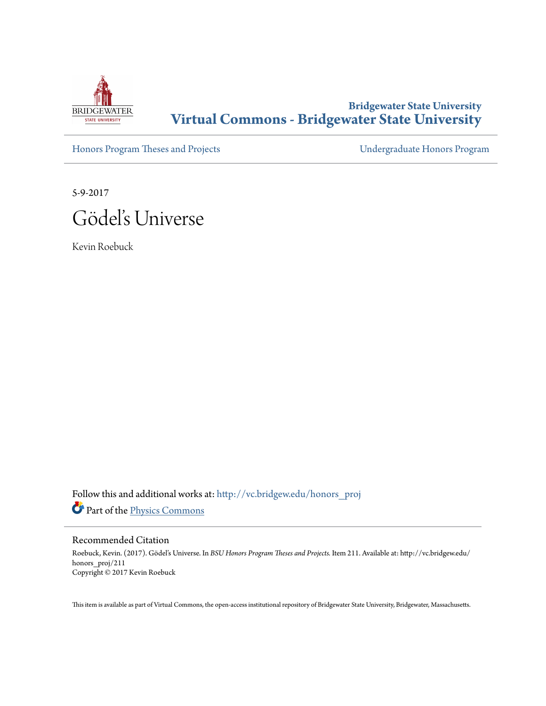

## **Bridgewater State University [Virtual Commons - Bridgewater State University](http://vc.bridgew.edu?utm_source=vc.bridgew.edu%2Fhonors_proj%2F211&utm_medium=PDF&utm_campaign=PDFCoverPages)**

[Honors Program Theses and Projects](http://vc.bridgew.edu/honors_proj?utm_source=vc.bridgew.edu%2Fhonors_proj%2F211&utm_medium=PDF&utm_campaign=PDFCoverPages) [Undergraduate Honors Program](http://vc.bridgew.edu/honors?utm_source=vc.bridgew.edu%2Fhonors_proj%2F211&utm_medium=PDF&utm_campaign=PDFCoverPages)

5-9-2017 Gödel's Universe

Kevin Roebuck

Follow this and additional works at: [http://vc.bridgew.edu/honors\\_proj](http://vc.bridgew.edu/honors_proj?utm_source=vc.bridgew.edu%2Fhonors_proj%2F211&utm_medium=PDF&utm_campaign=PDFCoverPages) Part of the [Physics Commons](http://network.bepress.com/hgg/discipline/193?utm_source=vc.bridgew.edu%2Fhonors_proj%2F211&utm_medium=PDF&utm_campaign=PDFCoverPages)

#### Recommended Citation

Roebuck, Kevin. (2017). Gödel's Universe. In *BSU Honors Program Theses and Projects.* Item 211. Available at: http://vc.bridgew.edu/ honors\_proj/211 Copyright © 2017 Kevin Roebuck

This item is available as part of Virtual Commons, the open-access institutional repository of Bridgewater State University, Bridgewater, Massachusetts.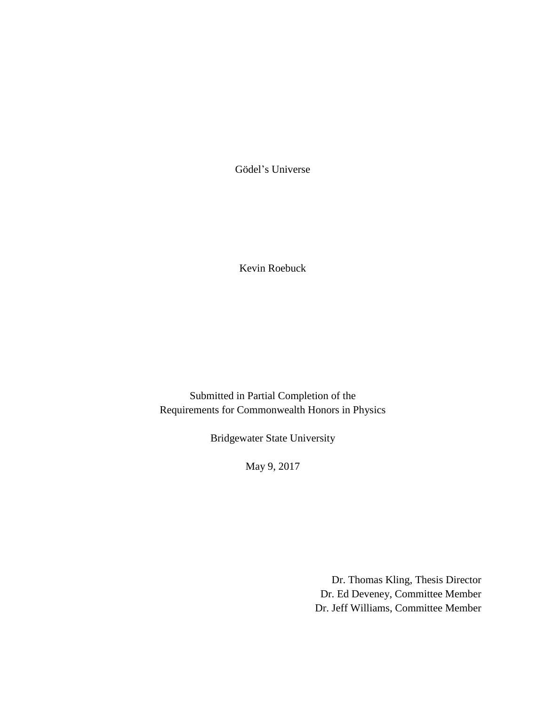Gödel's Universe

Kevin Roebuck

Submitted in Partial Completion of the Requirements for Commonwealth Honors in Physics

Bridgewater State University

May 9, 2017

Dr. Thomas Kling, Thesis Director Dr. Ed Deveney, Committee Member Dr. Jeff Williams, Committee Member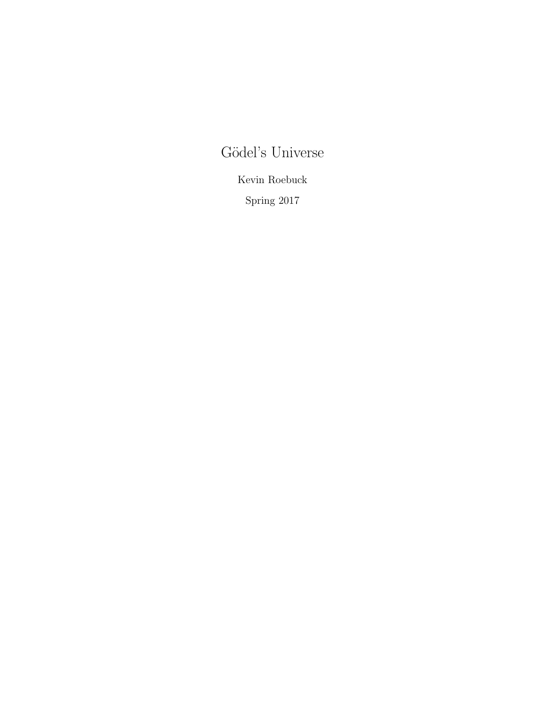# Gödel's Universe

Kevin Roebuck

Spring 2017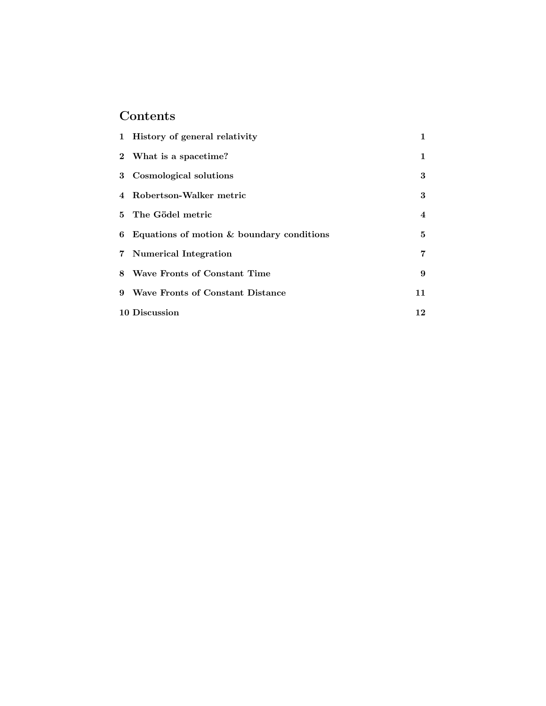# Contents

| 1 History of general relativity             | 1  |
|---------------------------------------------|----|
| 2 What is a spacetime?                      | 1  |
| 3 Cosmological solutions                    | 3  |
| 4 Robertson-Walker metric                   | 3  |
| 5 The Gödel metric                          | 4  |
| 6 Equations of motion & boundary conditions | 5  |
| 7 Numerical Integration                     | 7  |
| 8 Wave Fronts of Constant Time              | 9  |
| 9 Wave Fronts of Constant Distance          | 11 |
| 10 Discussion                               | 12 |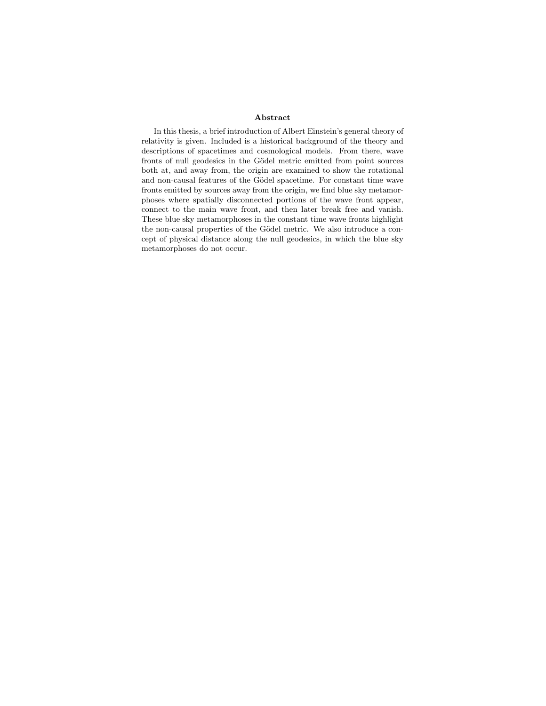#### Abstract

In this thesis, a brief introduction of Albert Einstein's general theory of relativity is given. Included is a historical background of the theory and descriptions of spacetimes and cosmological models. From there, wave fronts of null geodesics in the Gödel metric emitted from point sources both at, and away from, the origin are examined to show the rotational and non-causal features of the Gödel spacetime. For constant time wave fronts emitted by sources away from the origin, we find blue sky metamorphoses where spatially disconnected portions of the wave front appear, connect to the main wave front, and then later break free and vanish. These blue sky metamorphoses in the constant time wave fronts highlight the non-causal properties of the Gödel metric. We also introduce a concept of physical distance along the null geodesics, in which the blue sky metamorphoses do not occur.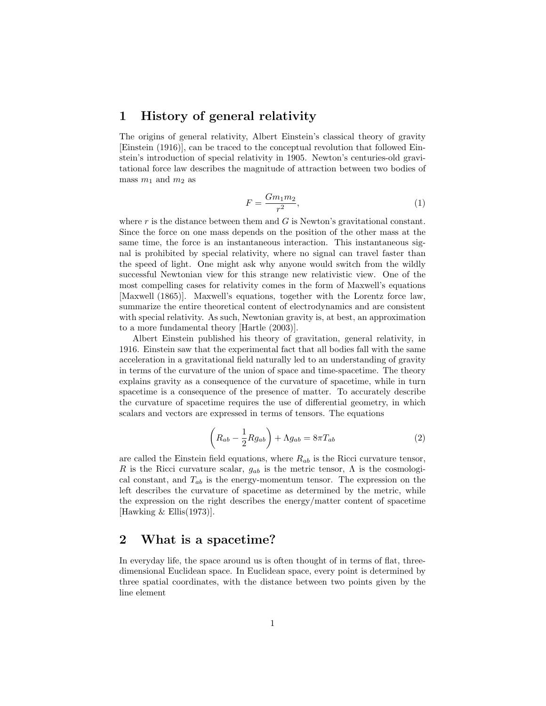#### 1 History of general relativity

The origins of general relativity, Albert Einstein's classical theory of gravity [Einstein (1916)], can be traced to the conceptual revolution that followed Einstein's introduction of special relativity in 1905. Newton's centuries-old gravitational force law describes the magnitude of attraction between two bodies of mass  $m_1$  and  $m_2$  as

$$
F = \frac{Gm_1m_2}{r^2},\tag{1}
$$

where  $r$  is the distance between them and  $G$  is Newton's gravitational constant. Since the force on one mass depends on the position of the other mass at the same time, the force is an instantaneous interaction. This instantaneous signal is prohibited by special relativity, where no signal can travel faster than the speed of light. One might ask why anyone would switch from the wildly successful Newtonian view for this strange new relativistic view. One of the most compelling cases for relativity comes in the form of Maxwell's equations [Maxwell (1865)]. Maxwell's equations, together with the Lorentz force law, summarize the entire theoretical content of electrodynamics and are consistent with special relativity. As such, Newtonian gravity is, at best, an approximation to a more fundamental theory [Hartle (2003)].

Albert Einstein published his theory of gravitation, general relativity, in 1916. Einstein saw that the experimental fact that all bodies fall with the same acceleration in a gravitational field naturally led to an understanding of gravity in terms of the curvature of the union of space and time-spacetime. The theory explains gravity as a consequence of the curvature of spacetime, while in turn spacetime is a consequence of the presence of matter. To accurately describe the curvature of spacetime requires the use of differential geometry, in which scalars and vectors are expressed in terms of tensors. The equations

$$
\left(R_{ab} - \frac{1}{2}Rg_{ab}\right) + \Lambda g_{ab} = 8\pi T_{ab} \tag{2}
$$

are called the Einstein field equations, where  $R_{ab}$  is the Ricci curvature tensor, R is the Ricci curvature scalar,  $g_{ab}$  is the metric tensor,  $\Lambda$  is the cosmological constant, and  $T_{ab}$  is the energy-momentum tensor. The expression on the left describes the curvature of spacetime as determined by the metric, while the expression on the right describes the energy/matter content of spacetime [Hawking & Ellis(1973)].

#### 2 What is a spacetime?

In everyday life, the space around us is often thought of in terms of flat, threedimensional Euclidean space. In Euclidean space, every point is determined by three spatial coordinates, with the distance between two points given by the line element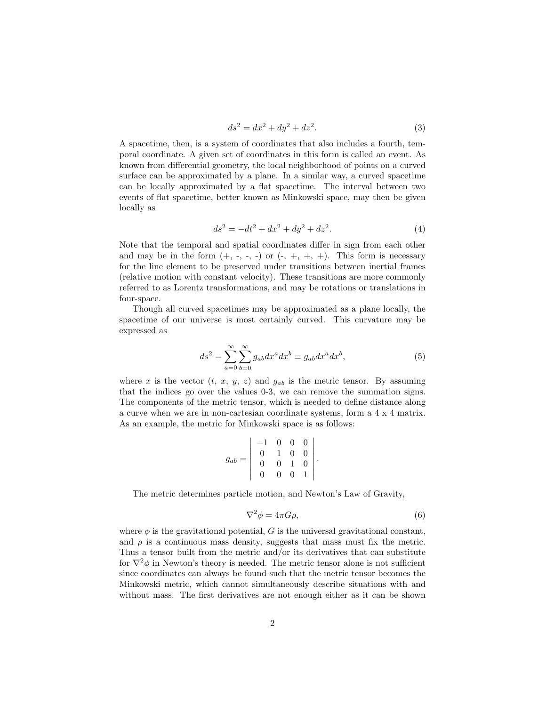$$
ds^2 = dx^2 + dy^2 + dz^2.
$$
 (3)

A spacetime, then, is a system of coordinates that also includes a fourth, temporal coordinate. A given set of coordinates in this form is called an event. As known from differential geometry, the local neighborhood of points on a curved surface can be approximated by a plane. In a similar way, a curved spacetime can be locally approximated by a flat spacetime. The interval between two events of flat spacetime, better known as Minkowski space, may then be given locally as

$$
ds^2 = -dt^2 + dx^2 + dy^2 + dz^2.
$$
 (4)

Note that the temporal and spatial coordinates differ in sign from each other and may be in the form  $(+, -, -, -)$  or  $(-, +, +, +)$ . This form is necessary for the line element to be preserved under transitions between inertial frames (relative motion with constant velocity). These transitions are more commonly referred to as Lorentz transformations, and may be rotations or translations in four-space.

Though all curved spacetimes may be approximated as a plane locally, the spacetime of our universe is most certainly curved. This curvature may be expressed as

$$
ds^2 = \sum_{a=0}^{\infty} \sum_{b=0}^{\infty} g_{ab} dx^a dx^b \equiv g_{ab} dx^a dx^b,
$$
 (5)

where x is the vector  $(t, x, y, z)$  and  $g_{ab}$  is the metric tensor. By assuming that the indices go over the values 0-3, we can remove the summation signs. The components of the metric tensor, which is needed to define distance along a curve when we are in non-cartesian coordinate systems, form a 4 x 4 matrix. As an example, the metric for Minkowski space is as follows:

$$
g_{ab} = \left| \begin{array}{rrrr} -1 & 0 & 0 & 0 \\ 0 & 1 & 0 & 0 \\ 0 & 0 & 1 & 0 \\ 0 & 0 & 0 & 1 \end{array} \right|.
$$

The metric determines particle motion, and Newton's Law of Gravity,

$$
\nabla^2 \phi = 4\pi G \rho,\tag{6}
$$

where  $\phi$  is the gravitational potential, G is the universal gravitational constant, and  $\rho$  is a continuous mass density, suggests that mass must fix the metric. Thus a tensor built from the metric and/or its derivatives that can substitute for  $\nabla^2 \phi$  in Newton's theory is needed. The metric tensor alone is not sufficient since coordinates can always be found such that the metric tensor becomes the Minkowski metric, which cannot simultaneously describe situations with and without mass. The first derivatives are not enough either as it can be shown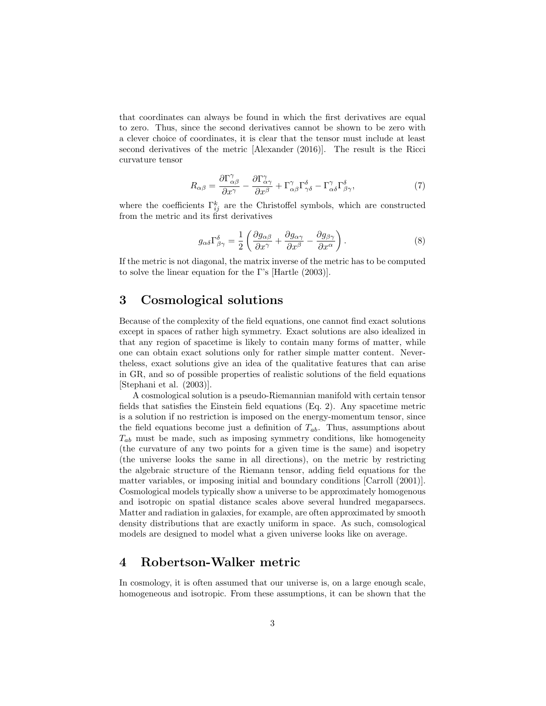that coordinates can always be found in which the first derivatives are equal to zero. Thus, since the second derivatives cannot be shown to be zero with a clever choice of coordinates, it is clear that the tensor must include at least second derivatives of the metric [Alexander (2016)]. The result is the Ricci curvature tensor

$$
R_{\alpha\beta} = \frac{\partial \Gamma_{\alpha\beta}^{\gamma}}{\partial x^{\gamma}} - \frac{\partial \Gamma_{\alpha\gamma}^{\gamma}}{\partial x^{\beta}} + \Gamma_{\alpha\beta}^{\gamma} \Gamma_{\gamma\delta}^{\delta} - \Gamma_{\alpha\delta}^{\gamma} \Gamma_{\beta\gamma}^{\delta}, \tag{7}
$$

where the coefficients  $\Gamma_{ij}^k$  are the Christoffel symbols, which are constructed from the metric and its first derivatives

$$
g_{\alpha\delta}\Gamma^{\delta}_{\beta\gamma} = \frac{1}{2} \left( \frac{\partial g_{\alpha\beta}}{\partial x^{\gamma}} + \frac{\partial g_{\alpha\gamma}}{\partial x^{\beta}} - \frac{\partial g_{\beta\gamma}}{\partial x^{\alpha}} \right). \tag{8}
$$

If the metric is not diagonal, the matrix inverse of the metric has to be computed to solve the linear equation for the Γ's [Hartle (2003)].

### 3 Cosmological solutions

Because of the complexity of the field equations, one cannot find exact solutions except in spaces of rather high symmetry. Exact solutions are also idealized in that any region of spacetime is likely to contain many forms of matter, while one can obtain exact solutions only for rather simple matter content. Nevertheless, exact solutions give an idea of the qualitative features that can arise in GR, and so of possible properties of realistic solutions of the field equations [Stephani et al. (2003)].

A cosmological solution is a pseudo-Riemannian manifold with certain tensor fields that satisfies the Einstein field equations (Eq. 2). Any spacetime metric is a solution if no restriction is imposed on the energy-momentum tensor, since the field equations become just a definition of  $T_{ab}$ . Thus, assumptions about  $T_{ab}$  must be made, such as imposing symmetry conditions, like homogeneity (the curvature of any two points for a given time is the same) and isopetry (the universe looks the same in all directions), on the metric by restricting the algebraic structure of the Riemann tensor, adding field equations for the matter variables, or imposing initial and boundary conditions [Carroll (2001)]. Cosmological models typically show a universe to be approximately homogenous and isotropic on spatial distance scales above several hundred megaparsecs. Matter and radiation in galaxies, for example, are often approximated by smooth density distributions that are exactly uniform in space. As such, comsological models are designed to model what a given universe looks like on average.

#### 4 Robertson-Walker metric

In cosmology, it is often assumed that our universe is, on a large enough scale, homogeneous and isotropic. From these assumptions, it can be shown that the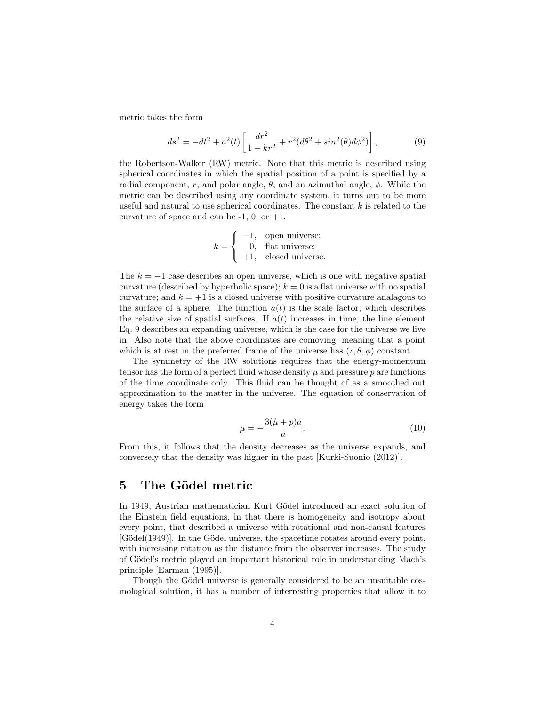metric takes the form

$$
ds^{2} = -dt^{2} + a^{2}(t) \left[ \frac{dr^{2}}{1 - kr^{2}} + r^{2}(d\theta^{2} + sin^{2}(\theta)d\phi^{2}) \right],
$$
 (9)

the Robertson-Walker (RW) metric. Note that this metric is described using spherical coordinates in which the spatial position of a point is specified by a radial component, r, and polar angle,  $\theta$ , and an azimuthal angle,  $\phi$ . While the metric can be described using any coordinate system, it turns out to be more useful and natural to use spherical coordinates. The constant  $k$  is related to the curvature of space and can be  $-1$ , 0, or  $+1$ .

$$
k = \begin{cases} -1, & \text{open universe;} \\ 0, & \text{flat universe;} \\ +1, & \text{closed universe.} \end{cases}
$$

The  $k = -1$  case describes an open universe, which is one with negative spatial curvature (described by hyperbolic space);  $k = 0$  is a flat universe with no spatial curvature; and  $k = +1$  is a closed universe with positive curvature analagous to the surface of a sphere. The function  $a(t)$  is the scale factor, which describes the relative size of spatial surfaces. If  $a(t)$  increases in time, the line element Eq. 9 describes an expanding universe, which is the case for the universe we live in. Also note that the above coordinates are comoving, meaning that a point which is at rest in the preferred frame of the universe has  $(r, \theta, \phi)$  constant.

The symmetry of the RW solutions requires that the energy-momentum tensor has the form of a perfect fluid whose density  $\mu$  and pressure p are functions of the time coordinate only. This fluid can be thought of as a smoothed out approximation to the matter in the universe. The equation of conservation of energy takes the form

$$
\mu = -\frac{3(\dot{\mu} + p)\dot{a}}{a}.\tag{10}
$$

From this, it follows that the density decreases as the universe expands, and conversely that the density was higher in the past [Kurki-Suonio (2012)].

#### 5 The Gödel metric

In 1949, Austrian mathematician Kurt Gödel introduced an exact solution of the Einstein field equations, in that there is homogeneity and isotropy about every point, that described a universe with rotational and non-causal features [Gödel(1949)]. In the Gödel universe, the spacetime rotates around every point, with increasing rotation as the distance from the observer increases. The study of Gödel's metric played an important historical role in understanding Mach's principle [Earman (1995)].

Though the Gödel universe is generally considered to be an unsuitable cosmological solution, it has a number of interresting properties that allow it to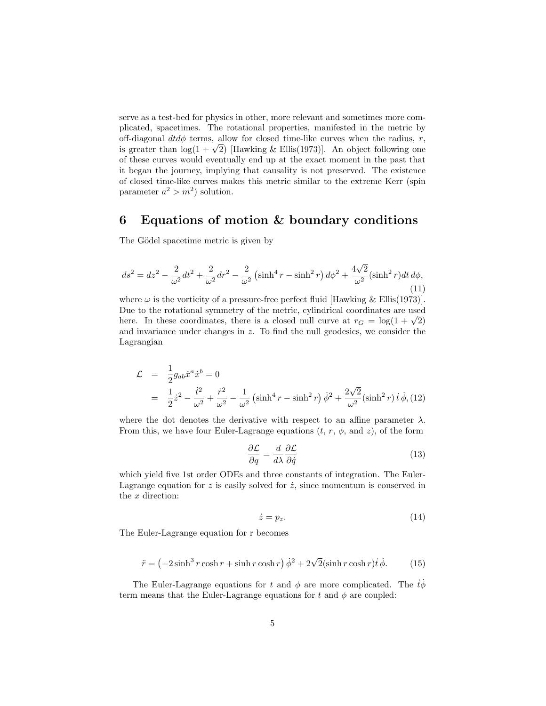serve as a test-bed for physics in other, more relevant and sometimes more complicated, spacetimes. The rotational properties, manifested in the metric by off-diagonal  $dtd\phi$  terms, allow for closed time-like curves when the radius, r, off-diagonal *ata* $\varphi$  terms, allow for closed time-like curves when the radius, r, is greater than  $\log(1 + \sqrt{2})$  [Hawking & Ellis(1973)]. An object following one of these curves would eventually end up at the exact moment in the past that it began the journey, implying that causality is not preserved. The existence of closed time-like curves makes this metric similar to the extreme Kerr (spin parameter  $a^2 > m^2$ ) solution.

#### 6 Equations of motion & boundary conditions

The Gödel spacetime metric is given by

$$
ds^{2} = dz^{2} - \frac{2}{\omega^{2}} dt^{2} + \frac{2}{\omega^{2}} dr^{2} - \frac{2}{\omega^{2}} \left( \sinh^{4} r - \sinh^{2} r \right) d\phi^{2} + \frac{4\sqrt{2}}{\omega^{2}} (\sinh^{2} r) dt d\phi,
$$
\n(11)

where  $\omega$  is the vorticity of a pressure-free perfect fluid [Hawking & Ellis(1973)]. Due to the rotational symmetry of the metric, cylindrical coordinates are used Due to the rotational symmetry or the metric, cylindrical coordinates are used<br>here. In these coordinates, there is a closed null curve at  $r_G = \log(1 + \sqrt{2})$ and invariance under changes in z. To find the null geodesics, we consider the Lagrangian

$$
\mathcal{L} = \frac{1}{2} g_{ab} \dot{x}^a \dot{x}^b = 0
$$
  
=  $\frac{1}{2} \dot{z}^2 - \frac{\dot{t}^2}{\omega^2} + \frac{\dot{r}^2}{\omega^2} - \frac{1}{\omega^2} \left( \sinh^4 r - \sinh^2 r \right) \dot{\phi}^2 + \frac{2\sqrt{2}}{\omega^2} (\sinh^2 r) \dot{t} \dot{\phi}, (12)$ 

where the dot denotes the derivative with respect to an affine parameter  $\lambda$ . From this, we have four Euler-Lagrange equations  $(t, r, \phi, \text{and } z)$ , of the form

$$
\frac{\partial \mathcal{L}}{\partial q} = \frac{d}{d\lambda} \frac{\partial \mathcal{L}}{\partial \dot{q}}
$$
(13)

which yield five 1st order ODEs and three constants of integration. The Euler-Lagrange equation for  $z$  is easily solved for  $\dot{z}$ , since momentum is conserved in the x direction:

$$
\dot{z} = p_z. \tag{14}
$$

The Euler-Lagrange equation for r becomes

$$
\ddot{r} = \left(-2\sinh^3 r \cosh r + \sinh r \cosh r\right) \dot{\phi}^2 + 2\sqrt{2}(\sinh r \cosh r) \dot{t} \dot{\phi}.
$$
 (15)

The Euler-Lagrange equations for t and  $\phi$  are more complicated. The  $\dot{t}\phi$ term means that the Euler-Lagrange equations for t and  $\phi$  are coupled: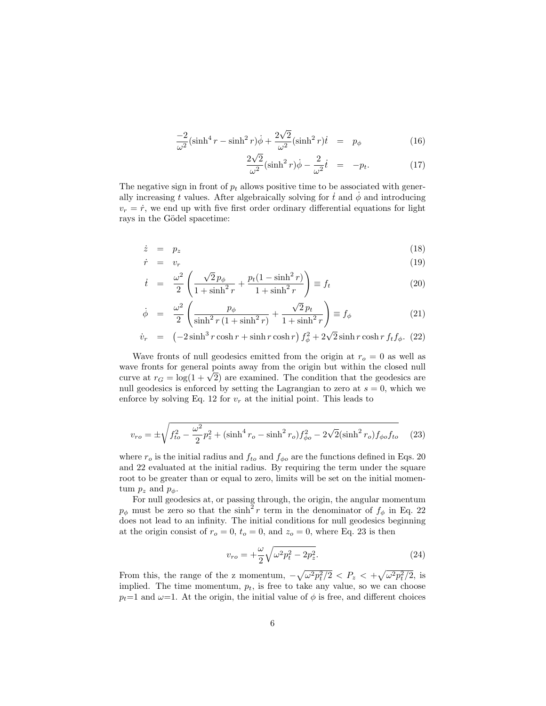$$
\frac{-2}{\omega^2} \left(\sinh^4 r - \sinh^2 r\right) \dot{\phi} + \frac{2\sqrt{2}}{\omega^2} \left(\sinh^2 r\right) \dot{t} = p_\phi \tag{16}
$$

$$
\frac{2\sqrt{2}}{\omega^2}(\sinh^2 r)\dot{\phi} - \frac{2}{\omega^2}\dot{t} = -p_t.
$$
 (17)

The negative sign in front of  $p_t$  allows positive time to be associated with generally increasing t values. After algebraically solving for  $t$  and  $\phi$  and introducing  $v_r = \dot{r}$ , we end up with five first order ordinary differential equations for light rays in the Gödel spacetime:

$$
\dot{z} = p_z \tag{18}
$$

$$
\dot{r} = v_r \tag{19}
$$
\n
$$
\dot{v}^2 \left( \sqrt{2} n_t - n_t (1 - \sinh^2 r) \right)
$$

$$
\dot{t} = \frac{\omega^2}{2} \left( \frac{\sqrt{2} p_\phi}{1 + \sinh^2 r} + \frac{p_t (1 - \sinh^2 r)}{1 + \sinh^2 r} \right) \equiv f_t \tag{20}
$$

$$
\dot{\phi} = \frac{\omega^2}{2} \left( \frac{p_\phi}{\sinh^2 r \left( 1 + \sinh^2 r \right)} + \frac{\sqrt{2} p_t}{1 + \sinh^2 r} \right) \equiv f_\phi \tag{21}
$$

$$
\dot{v}_r = \left(-2\sinh^3 r \cosh r + \sinh r \cosh r\right) f_\phi^2 + 2\sqrt{2} \sinh r \cosh r f_t f_\phi. (22)
$$

Wave fronts of null geodesics emitted from the origin at  $r<sub>o</sub> = 0$  as well as wave fronts for general points away from the origin but within the closed null wave fronts for general points away from the origin but within the closed null curve at  $r_G = \log(1 + \sqrt{2})$  are examined. The condition that the geodesics are null geodesics is enforced by setting the Lagrangian to zero at  $s = 0$ , which we enforce by solving Eq. 12 for  $v_r$  at the initial point. This leads to

$$
v_{ro} = \pm \sqrt{f_{to}^2 - \frac{\omega^2}{2}p_z^2 + (\sinh^4 r_o - \sinh^2 r_o)f_{\phi o}^2 - 2\sqrt{2}(\sinh^2 r_o)f_{\phi o}f_{to}}
$$
 (23)

where  $r_o$  is the initial radius and  $f_{to}$  and  $f_{\phi o}$  are the functions defined in Eqs. 20 and 22 evaluated at the initial radius. By requiring the term under the square root to be greater than or equal to zero, limits will be set on the initial momentum  $p_z$  and  $p_\phi$ .

For null geodesics at, or passing through, the origin, the angular momentum  $p_{\phi}$  must be zero so that the sinh<sup>2</sup> r term in the denominator of  $f_{\phi}$  in Eq. 22 does not lead to an infinity. The initial conditions for null geodesics beginning at the origin consist of  $r_o = 0$ ,  $t_o = 0$ , and  $z_o = 0$ , where Eq. 23 is then

$$
v_{ro} = +\frac{\omega}{2} \sqrt{\omega^2 p_t^2 - 2p_z^2}.
$$
 (24)

From this, the range of the z momentum,  $-\sqrt{\omega^2 p_t^2/2} < P_z < +\sqrt{\omega^2 p_t^2/2}$ , is implied. The time momentum,  $p_t$ , is free to take any value, so we can choose  $p_t=1$  and  $\omega=1$ . At the origin, the initial value of  $\phi$  is free, and different choices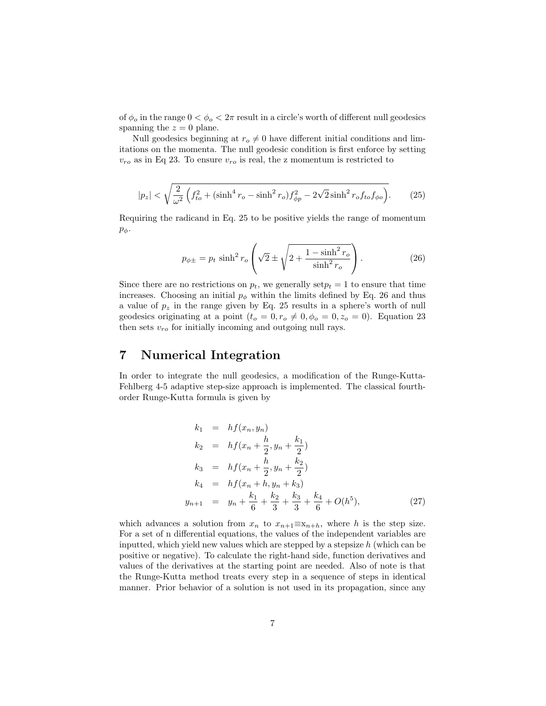of  $\phi_o$  in the range  $0 < \phi_o < 2\pi$  result in a circle's worth of different null geodesics spanning the  $z = 0$  plane.

Null geodesics beginning at  $r_o \neq 0$  have different initial conditions and limitations on the momenta. The null geodesic condition is first enforce by setting  $v_{ro}$  as in Eq 23. To ensure  $v_{ro}$  is real, the z momentum is restricted to

$$
|p_z| < \sqrt{\frac{2}{\omega^2} \left( f_{to}^2 + (\sinh^4 r_o - \sinh^2 r_o) f_{\phi p}^2 - 2\sqrt{2} \sinh^2 r_o f_{to} f_{\phi o} \right)}.\tag{25}
$$

Requiring the radicand in Eq. 25 to be positive yields the range of momentum  $p_{\phi}$ .

$$
p_{\phi \pm} = p_t \sinh^2 r_o \left( \sqrt{2} \pm \sqrt{2 + \frac{1 - \sinh^2 r_o}{\sinh^2 r_o}} \right).
$$
 (26)

Since there are no restrictions on  $p_t$ , we generally set  $p_t = 1$  to ensure that time increases. Choosing an initial  $p_{\phi}$  within the limits defined by Eq. 26 and thus a value of  $p_z$  in the range given by Eq. 25 results in a sphere's worth of null geodesics originating at a point  $(t_o = 0, r_o \neq 0, \phi_o = 0, z_o = 0)$ . Equation 23 then sets  $v_{ro}$  for initially incoming and outgoing null rays.

#### 7 Numerical Integration

In order to integrate the null geodesics, a modification of the Runge-Kutta-Fehlberg 4-5 adaptive step-size approach is implemented. The classical fourthorder Runge-Kutta formula is given by

$$
k_1 = hf(x_n, y_n)
$$
  
\n
$$
k_2 = hf(x_n + \frac{h}{2}, y_n + \frac{k_1}{2})
$$
  
\n
$$
k_3 = hf(x_n + \frac{h}{2}, y_n + \frac{k_2}{2})
$$
  
\n
$$
k_4 = hf(x_n + h, y_n + k_3)
$$
  
\n
$$
y_{n+1} = y_n + \frac{k_1}{6} + \frac{k_2}{3} + \frac{k_3}{3} + \frac{k_4}{6} + O(h^5),
$$
\n(27)

which advances a solution from  $x_n$  to  $x_{n+1} \equiv x_{n+h}$ , where h is the step size. For a set of n differential equations, the values of the independent variables are inputted, which yield new values which are stepped by a stepsize  $h$  (which can be positive or negative). To calculate the right-hand side, function derivatives and values of the derivatives at the starting point are needed. Also of note is that the Runge-Kutta method treats every step in a sequence of steps in identical manner. Prior behavior of a solution is not used in its propagation, since any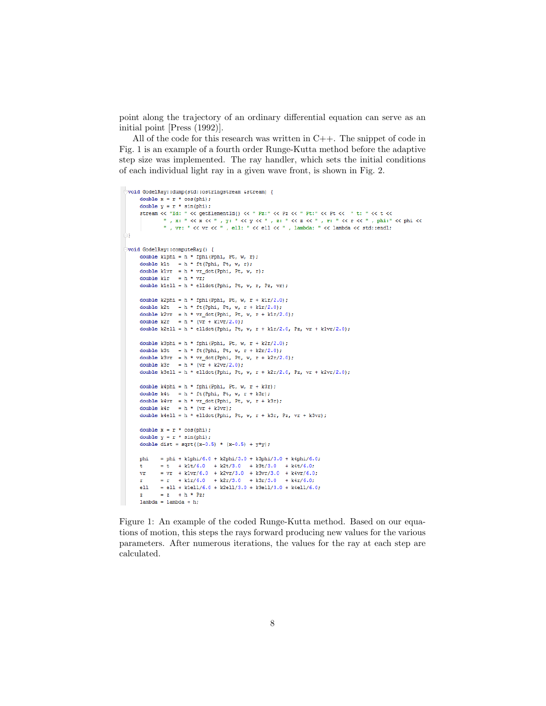point along the trajectory of an ordinary differential equation can serve as an initial point [Press (1992)].

All of the code for this research was written in  $C_{++}$ . The snippet of code in Fig. 1 is an example of a fourth order Runge-Kutta method before the adaptive step size was implemented. The ray handler, which sets the initial conditions of each individual light ray in a given wave front, is shown in Fig. 2.

```
\Boxvoid GodelRav::dump(std::ostringstream &stream) {
       double x = r * cos(hhi):
       double y = r * sin(hii);
       \mathtt{stream} \ll \texttt{"Id: "} \ll \mathtt{getElementId()} \ll \texttt{"} \ \mathtt{Pz: "} \ll \mathtt{Pz} \ll \texttt{"} \ \mathtt{Pt: "} \ll \mathtt{Pt \ll \texttt{"} t: "} \ll \mathtt{t \ll \texttt{t} \ll \texttt{t} \ll \texttt{t} \ll \texttt{t} \ll \texttt{t} \ll \texttt{t} \ll \texttt{t} \ll \texttt{t} \ll \texttt{t} \ll \texttt{t} \ll \texttt{t} \ll \texttt{t} \ll \texttt{t} \ll \texttt{t} \ll \texttt{t} \ll \textttx: "\langle x, y \rangle" \langle x, y \rangle" \langle x, y \rangle" \langle x, y \rangle" \langle x, y \rangle" \langle x, y \rangle" \langle x, y \rangle" \langle x, y \rangle" \langle x, y \rangle" \langle x, y \rangle" \langle x, y \rangle" \langle x, y \rangle" \langle x, y \rangle" \langle x, y \rangle" \langle x, y \rangle" \langle x, y \rangle" \langle x, y \rangle" \langle x, y \rangle" \langle x, y \rangle" \langle x, y \rangle١J
  Void GodelRay::computeRay() {
       double klphi = h * fphi(Pphi, Pt, w, r);
       double klt = h * ft(Pphi, Pt, W, r);double klvr = h * vr_dot(Phi, Pt, w, r);double k1r = h * vr;double kiell = h * elidot(Pphi, Pt, w, r, Pz, vr);
       double k2phi = h * fphi(Pphi, Pt, w, r + k1r/2.0);
       double k2t = h * ft(Phi, Pt, W, r + klr/2.0);\texttt{double k2vr = h * vr\_dot(Pphi, Pt, w, r + klr/2.0)};double k2r = h * (vr + k1vr/2.0);
       double k2ell = h * elldot(Pphi, Pt, w, r + k1r/2.0, Pz, vr + k1vr/2.0);
       double k3phi = h * fphi(Pphi, Pt, w, r + k2r/2.0);
       double k3t = h * ft(Pphi, Pt, w, r + k2r/2.0);double k3vr = h * vr_dot(Pphi, Pt, w, r + k2r/2.0);double k3r = h * (vr + k2vr/2.0);double k3ell = h * elldot(Pphi, Pt, w, r + k2r/2.0, Pz, vr + k2vr/2.0);
       double k4phi = h * fphi(Pphi, Pt, w, r + k3r);double k4t = h * ft(Pphi, Pt, w, r + k3r);double k4vr = h * vr dot(Phi, Pt, w, r + k3r);double k4r = h * (vr + k3vr);double k4ell = h * elldot(Pphi, Pt, w, r + k3r, Pz, vr + k3vr);
       double x = r * cos(hhi):
       double y = r * sin(bhi):
       double dist = sqrt((x-0.5) * (x-0.5) + y*y;
                = phi + k1phi/6.0 + k2phi/3.0 + k3phi/3.0 + k4phi/6.0;
       phi
                 = t + k1t/6.0 + k2t/3.0 + k3t/3.0 + k4t/6.0;= vr + k1vr/6.0 + k2vr/3.0 + k3vr/3.0 + k4vr/6.0;
       \mathtt{vr}= r + k1r/6.0 + k2r/3.0 + k3r/3.0 + k4r/6.0;\mathbf rell = ell + k1ell/6.0 + k2ell/3.0 + k3ell/3.0 + k4ell/6.0;
                 = z + h * Pz;\mathbf{z}lambda = lambda + h:
```
Figure 1: An example of the coded Runge-Kutta method. Based on our equations of motion, this steps the rays forward producing new values for the various parameters. After numerous iterations, the values for the ray at each step are calculated.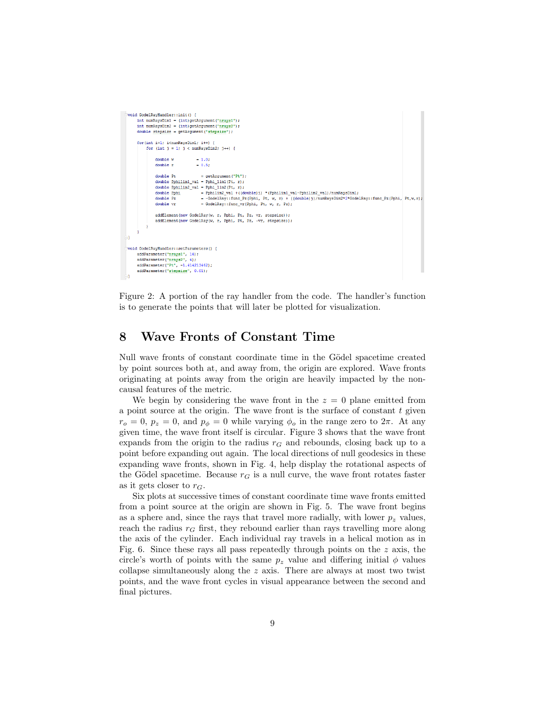```
Void GodelRavHandler::init() {
     int numRaysDim1 = (int) getArgument("nrays1");<br>int numRaysDim2 = (int) getArgument("nrays2");
      \text{double stepsize} = \text{getArgument}(\text{"stepsize");}for(int i=1; i<numRavsDim1; i++) {
            for (int j = 1; j < numRaysDim2; j++) {
                  double v
                                               = 1.0double r= 0.5;double Pt
                                                 = getArgument("Pt");
                  \begin{aligned} \text{double P1} &= \text{y} \text{exp}(\text{number}(r, r)) \\ \text{double Pphilim1\_val} &= \text{Pphi\_lim}(Pr, r); \\ \text{double Pphilim2\_val} &= \text{Pphi\_lim}(Pr, r); \end{aligned}double Pphi
                                                 =\texttt{Pphilim2\_val } + ((double) \texttt{i}) \cdot * (\texttt{Pphilim1\_val-Pphilim2\_val}) / \texttt{numRayplim1};-\texttt{GodelRay::func\_Pz(Pphi, w, r)} - ((double))/\texttt{numRayslim2*2*GodelRay::func\_Pz(Pphi, w, r)}double Pz
                  double vr
                                                 = GodelRay::func_vr(Pphi, Pt, w, r, Pz);
                   addElement (new GodelRay (w, r, Pphi, Pt, Pz, vr, stepsize));
                   addElement (new GodelRay (w, r, Pphi, Pt, Pz, -vr, stepsize));
void GodelRayHandler::setParameters() {
      addParameter("nrays1", 16);
      addParameter("nrays2", 4);
      \label{eq:addParam} \begin{split} \texttt{addParameter}\,(\texttt{"Pt", -1.414213462})\,;\\ \texttt{addParameter}\,(\texttt{"stepsize", 0.01})\,; \end{split}
```
Figure 2: A portion of the ray handler from the code. The handler's function is to generate the points that will later be plotted for visualization.

### 8 Wave Fronts of Constant Time

Null wave fronts of constant coordinate time in the Gödel spacetime created by point sources both at, and away from, the origin are explored. Wave fronts originating at points away from the origin are heavily impacted by the noncausal features of the metric.

We begin by considering the wave front in the  $z = 0$  plane emitted from a point source at the origin. The wave front is the surface of constant  $t$  given  $r_o = 0$ ,  $p_z = 0$ , and  $p_\phi = 0$  while varying  $\phi_o$  in the range zero to  $2\pi$ . At any given time, the wave front itself is circular. Figure 3 shows that the wave front expands from the origin to the radius  $r<sub>G</sub>$  and rebounds, closing back up to a point before expanding out again. The local directions of null geodesics in these expanding wave fronts, shown in Fig. 4, help display the rotational aspects of the Gödel spacetime. Because  $r_G$  is a null curve, the wave front rotates faster as it gets closer to  $r_G$ .

Six plots at successive times of constant coordinate time wave fronts emitted from a point source at the origin are shown in Fig. 5. The wave front begins as a sphere and, since the rays that travel more radially, with lower  $p<sub>z</sub>$  values, reach the radius  $r<sub>G</sub>$  first, they rebound earlier than rays travelling more along the axis of the cylinder. Each individual ray travels in a helical motion as in Fig. 6. Since these rays all pass repeatedly through points on the z axis, the circle's worth of points with the same  $p_z$  value and differing initial  $\phi$  values collapse simultaneously along the  $z$  axis. There are always at most two twist points, and the wave front cycles in visual appearance between the second and final pictures.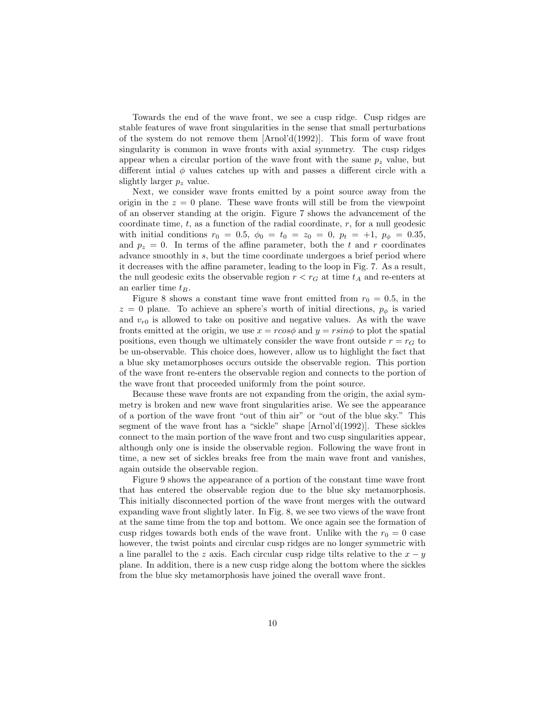Towards the end of the wave front, we see a cusp ridge. Cusp ridges are stable features of wave front singularities in the sense that small perturbations of the system do not remove them  $[Arnol'd(1992)]$ . This form of wave front singularity is common in wave fronts with axial symmetry. The cusp ridges appear when a circular portion of the wave front with the same  $p<sub>z</sub>$  value, but different intial  $\phi$  values catches up with and passes a different circle with a slightly larger  $p_z$  value.

Next, we consider wave fronts emitted by a point source away from the origin in the  $z = 0$  plane. These wave fronts will still be from the viewpoint of an observer standing at the origin. Figure 7 shows the advancement of the coordinate time,  $t$ , as a function of the radial coordinate,  $r$ , for a null geodesic with initial conditions  $r_0 = 0.5$ ,  $\phi_0 = t_0 = z_0 = 0$ ,  $p_t = +1$ ,  $p_{\phi} = 0.35$ , and  $p_z = 0$ . In terms of the affine parameter, both the t and r coordinates advance smoothly in s, but the time coordinate undergoes a brief period where it decreases with the affine parameter, leading to the loop in Fig. 7. As a result, the null geodesic exits the observable region  $r < r<sub>G</sub>$  at time  $t<sub>A</sub>$  and re-enters at an earlier time  $t_B$ .

Figure 8 shows a constant time wave front emitted from  $r_0 = 0.5$ , in the  $z = 0$  plane. To achieve an sphere's worth of initial directions,  $p_{\phi}$  is varied and  $v_{r0}$  is allowed to take on positive and negative values. As with the wave fronts emitted at the origin, we use  $x = r\cos\phi$  and  $y = r\sin\phi$  to plot the spatial positions, even though we ultimately consider the wave front outside  $r = r_G$  to be un-observable. This choice does, however, allow us to highlight the fact that a blue sky metamorphoses occurs outside the observable region. This portion of the wave front re-enters the observable region and connects to the portion of the wave front that proceeded uniformly from the point source.

Because these wave fronts are not expanding from the origin, the axial symmetry is broken and new wave front singularities arise. We see the appearance of a portion of the wave front "out of thin air" or "out of the blue sky." This segment of the wave front has a "sickle" shape [Arnol'd(1992)]. These sickles connect to the main portion of the wave front and two cusp singularities appear, although only one is inside the observable region. Following the wave front in time, a new set of sickles breaks free from the main wave front and vanishes, again outside the observable region.

Figure 9 shows the appearance of a portion of the constant time wave front that has entered the observable region due to the blue sky metamorphosis. This initially disconnected portion of the wave front merges with the outward expanding wave front slightly later. In Fig. 8, we see two views of the wave front at the same time from the top and bottom. We once again see the formation of cusp ridges towards both ends of the wave front. Unlike with the  $r_0 = 0$  case however, the twist points and circular cusp ridges are no longer symmetric with a line parallel to the z axis. Each circular cusp ridge tilts relative to the  $x - y$ plane. In addition, there is a new cusp ridge along the bottom where the sickles from the blue sky metamorphosis have joined the overall wave front.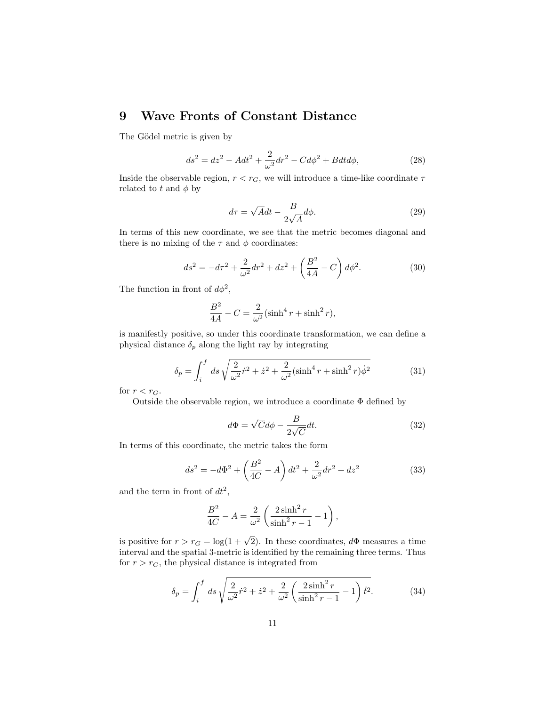### 9 Wave Fronts of Constant Distance

The Gödel metric is given by

$$
ds^{2} = dz^{2} - A dt^{2} + \frac{2}{\omega^{2}} dr^{2} - C d\phi^{2} + B dt d\phi,
$$
 (28)

Inside the observable region,  $r < r_G$ , we will introduce a time-like coordinate  $\tau$ related to t and  $\phi$  by

$$
d\tau = \sqrt{A}dt - \frac{B}{2\sqrt{A}}d\phi.
$$
 (29)

In terms of this new coordinate, we see that the metric becomes diagonal and there is no mixing of the  $\tau$  and  $\phi$  coordinates:

$$
ds^{2} = -d\tau^{2} + \frac{2}{\omega^{2}}dr^{2} + dz^{2} + \left(\frac{B^{2}}{4A} - C\right)d\phi^{2}.
$$
 (30)

The function in front of  $d\phi^2$ ,

$$
\frac{B^2}{4A} - C = \frac{2}{\omega^2} (\sinh^4 r + \sinh^2 r),
$$

is manifestly positive, so under this coordinate transformation, we can define a physical distance  $\delta_p$  along the light ray by integrating

$$
\delta_p = \int_i^f ds \sqrt{\frac{2}{\omega^2} \dot{r}^2 + \dot{z}^2 + \frac{2}{\omega^2} (\sinh^4 r + \sinh^2 r) \dot{\phi}^2}
$$
(31)

for  $r < r_G$ .

Outside the observable region, we introduce a coordinate Φ defined by

$$
d\Phi = \sqrt{C}d\phi - \frac{B}{2\sqrt{C}}dt.
$$
\n(32)

In terms of this coordinate, the metric takes the form

$$
ds^{2} = -d\Phi^{2} + \left(\frac{B^{2}}{4C} - A\right)dt^{2} + \frac{2}{\omega^{2}}dr^{2} + dz^{2}
$$
 (33)

and the term in front of  $dt^2$ ,

$$
\frac{B^2}{4C} - A = \frac{2}{\omega^2} \left( \frac{2 \sinh^2 r}{\sinh^2 r - 1} - 1 \right),
$$

is positive for  $r > r_G = \log(1 + \sqrt{2})$ . In these coordinates,  $d\Phi$  measures a time interval and the spatial 3-metric is identified by the remaining three terms. Thus for  $r > r_G$ , the physical distance is integrated from

$$
\delta_p = \int_i^f ds \sqrt{\frac{2}{\omega^2} \dot{r}^2 + \dot{z}^2 + \frac{2}{\omega^2} \left(\frac{2 \sinh^2 r}{\sinh^2 r - 1} - 1\right) \dot{t}^2}.
$$
 (34)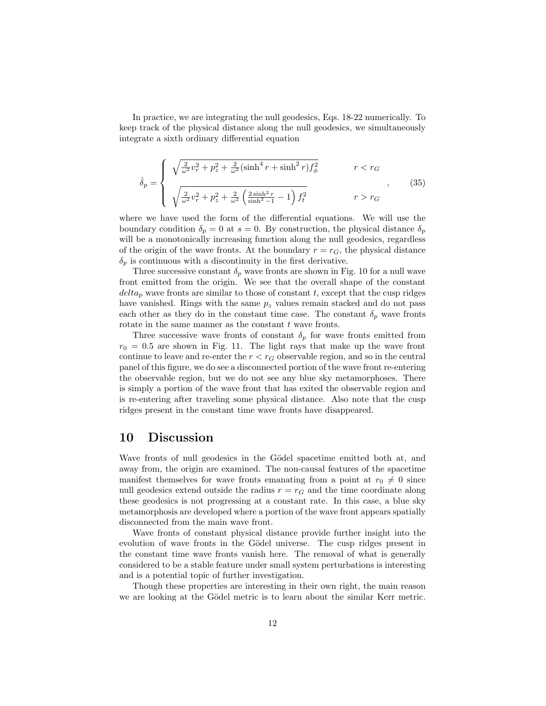In practice, we are integrating the null geodesics, Eqs. 18-22 numerically. To keep track of the physical distance along the null geodesics, we simultaneously integrate a sixth ordinary differential equation

$$
\dot{\delta}_p = \begin{cases}\n\sqrt{\frac{2}{\omega^2}v_r^2 + p_z^2 + \frac{2}{\omega^2}(\sinh^4 r + \sinh^2 r)f_\phi^2} & r < r_G \\
\sqrt{\frac{2}{\omega^2}v_r^2 + p_z^2 + \frac{2}{\omega^2}(\frac{2\sinh^2 r}{\sinh^2 - 1} - 1)f_t^2} & r > r_G\n\end{cases}
$$
\n(35)

where we have used the form of the differential equations. We will use the boundary condition  $\delta_p = 0$  at  $s = 0$ . By construction, the physical distance  $\delta_p$ will be a monotonically increasing function along the null geodesics, regardless of the origin of the wave fronts. At the boundary  $r = r_G$ , the physical distance  $\delta_p$  is continuous with a discontinuity in the first derivative.

Three successive constant  $\delta_p$  wave fronts are shown in Fig. 10 for a null wave front emitted from the origin. We see that the overall shape of the constant  $delta_p$  wave fronts are similar to those of constant t, except that the cusp ridges have vanished. Rings with the same  $p_z$  values remain stacked and do not pass each other as they do in the constant time case. The constant  $\delta_p$  wave fronts rotate in the same manner as the constant  $t$  wave fronts.

Three successive wave fronts of constant  $\delta_p$  for wave fronts emitted from  $r_0 = 0.5$  are shown in Fig. 11. The light rays that make up the wave front continue to leave and re-enter the  $r < r<sub>G</sub>$  observable region, and so in the central panel of this figure, we do see a disconnected portion of the wave front re-entering the observable region, but we do not see any blue sky metamorphoses. There is simply a portion of the wave front that has exited the observable region and is re-entering after traveling some physical distance. Also note that the cusp ridges present in the constant time wave fronts have disappeared.

#### 10 Discussion

Wave fronts of null geodesics in the Gödel spacetime emitted both at, and away from, the origin are examined. The non-causal features of the spacetime manifest themselves for wave fronts emanating from a point at  $r_0 \neq 0$  since null geodesics extend outside the radius  $r = r<sub>G</sub>$  and the time coordinate along these geodesics is not progressing at a constant rate. In this case, a blue sky metamorphosis are developed where a portion of the wave front appears spatially disconnected from the main wave front.

Wave fronts of constant physical distance provide further insight into the evolution of wave fronts in the Gödel universe. The cusp ridges present in the constant time wave fronts vanish here. The removal of what is generally considered to be a stable feature under small system perturbations is interesting and is a potential topic of further investigation.

Though these properties are interesting in their own right, the main reason we are looking at the Gödel metric is to learn about the similar Kerr metric.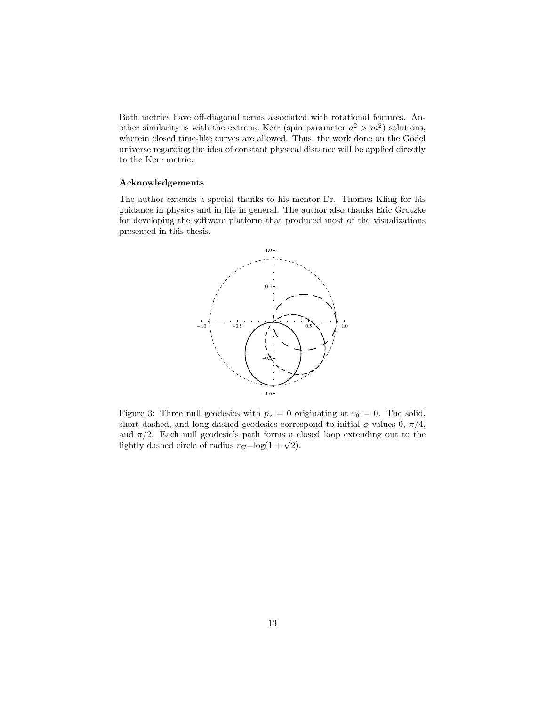Both metrics have off-diagonal terms associated with rotational features. Another similarity is with the extreme Kerr (spin parameter  $a^2 > m^2$ ) solutions, wherein closed time-like curves are allowed. Thus, the work done on the Gödel universe regarding the idea of constant physical distance will be applied directly to the Kerr metric.

#### Acknowledgements

The author extends a special thanks to his mentor Dr. Thomas Kling for his guidance in physics and in life in general. The author also thanks Eric Grotzke for developing the software platform that produced most of the visualizations presented in this thesis.



Figure 3: Three null geodesics with  $p_z = 0$  originating at  $r_0 = 0$ . The solid, short dashed, and long dashed geodesics correspond to initial  $\phi$  values 0,  $\pi/4$ , and  $\pi/2$ . Each null geodesic's path forms a closed loop extending out to the and  $\pi/2$ . Each null geodesic's path forms a c<br>lightly dashed circle of radius  $r_G = \log(1 + \sqrt{2})$ .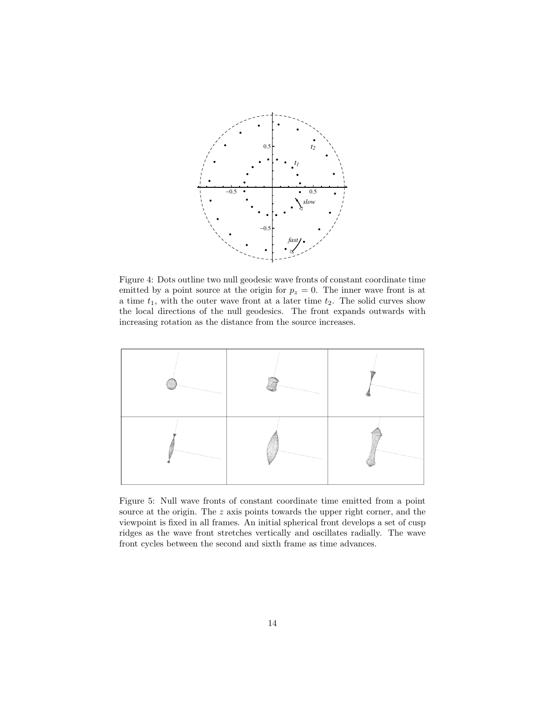

Figure 4: Dots outline two null geodesic wave fronts of constant coordinate time emitted by a point source at the origin for  $p_z = 0$ . The inner wave front is at a time  $t_1$ , with the outer wave front at a later time  $t_2$ . The solid curves show the local directions of the null geodesics. The front expands outwards with increasing rotation as the distance from the source increases.



Figure 5: Null wave fronts of constant coordinate time emitted from a point source at the origin. The z axis points towards the upper right corner, and the viewpoint is fixed in all frames. An initial spherical front develops a set of cusp ridges as the wave front stretches vertically and oscillates radially. The wave front cycles between the second and sixth frame as time advances.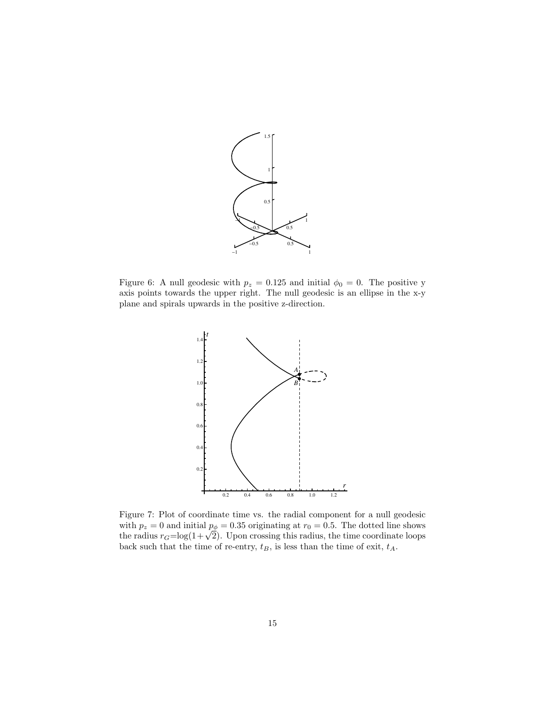

Figure 6: A null geodesic with  $p_z = 0.125$  and initial  $\phi_0 = 0$ . The positive y axis points towards the upper right. The null geodesic is an ellipse in the x-y plane and spirals upwards in the positive z-direction.



Figure 7: Plot of coordinate time vs. the radial component for a null geodesic with  $p_z = 0$  and initial  $p_{\phi} = 0.35$  originating at  $r_0 = 0.5$ . The dotted line shows the radius  $r_G = \log(1 + \sqrt{2})$ . Upon crossing this radius, the time coordinate loops back such that the time of re-entry,  $t_B$ , is less than the time of exit,  $t_A$ .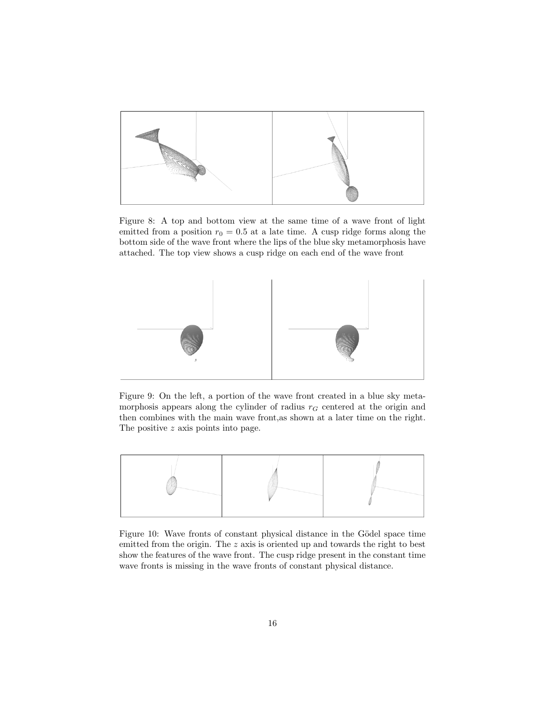

Figure 8: A top and bottom view at the same time of a wave front of light emitted from a position  $r_0 = 0.5$  at a late time. A cusp ridge forms along the bottom side of the wave front where the lips of the blue sky metamorphosis have attached. The top view shows a cusp ridge on each end of the wave front



Figure 9: On the left, a portion of the wave front created in a blue sky metamorphosis appears along the cylinder of radius  $r<sub>G</sub>$  centered at the origin and then combines with the main wave front,as shown at a later time on the right. The positive z axis points into page.



Figure 10: Wave fronts of constant physical distance in the Gödel space time emitted from the origin. The z axis is oriented up and towards the right to best show the features of the wave front. The cusp ridge present in the constant time wave fronts is missing in the wave fronts of constant physical distance.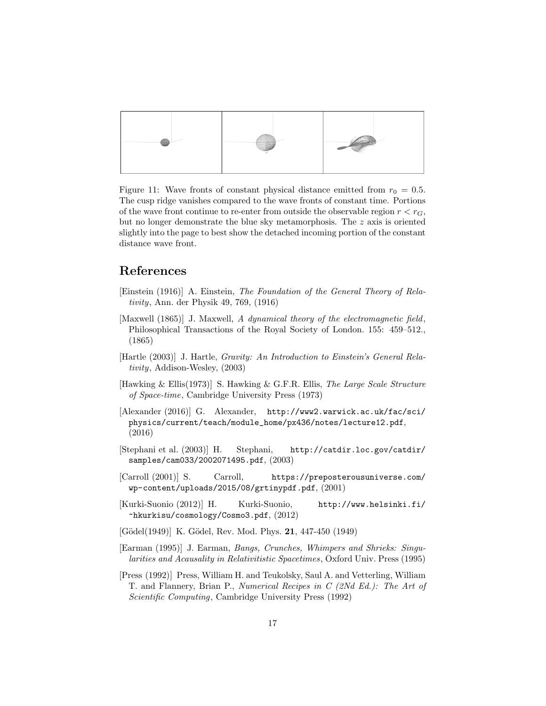

Figure 11: Wave fronts of constant physical distance emitted from  $r_0 = 0.5$ . The cusp ridge vanishes compared to the wave fronts of constant time. Portions of the wave front continue to re-enter from outside the observable region  $r < r_G$ , but no longer demonstrate the blue sky metamorphosis. The  $z$  axis is oriented slightly into the page to best show the detached incoming portion of the constant distance wave front.

#### References

- [Einstein (1916)] A. Einstein, The Foundation of the General Theory of Relativity, Ann. der Physik 49, 769, (1916)
- [Maxwell (1865)] J. Maxwell, A dynamical theory of the electromagnetic field, Philosophical Transactions of the Royal Society of London. 155: 459–512., (1865)
- [Hartle (2003)] J. Hartle, Gravity: An Introduction to Einstein's General Relativity, Addison-Wesley, (2003)
- [Hawking & Ellis(1973)] S. Hawking & G.F.R. Ellis, The Large Scale Structure of Space-time, Cambridge University Press (1973)
- [Alexander (2016)] G. Alexander, http://www2.warwick.ac.uk/fac/sci/ physics/current/teach/module\_home/px436/notes/lecture12.pdf, (2016)
- [Stephani et al. (2003)] H. Stephani, http://catdir.loc.gov/catdir/ samples/cam033/2002071495.pdf, (2003)
- [Carroll (2001)] S. Carroll, https://preposterousuniverse.com/ wp-content/uploads/2015/08/grtinypdf.pdf, (2001)
- [Kurki-Suonio (2012)] H. Kurki-Suonio, http://www.helsinki.fi/ ~hkurkisu/cosmology/Cosmo3.pdf, (2012)
- $[Gödel(1949)]$  K.  $Gödel$ , Rev. Mod. Phys. **21**, 447-450  $(1949)$
- [Earman (1995)] J. Earman, Bangs, Crunches, Whimpers and Shrieks: Singularities and Acausality in Relativitistic Spacetimes, Oxford Univ. Press (1995)
- [Press (1992)] Press, William H. and Teukolsky, Saul A. and Vetterling, William T. and Flannery, Brian P., Numerical Recipes in C (2Nd Ed.): The Art of Scientific Computing, Cambridge University Press (1992)